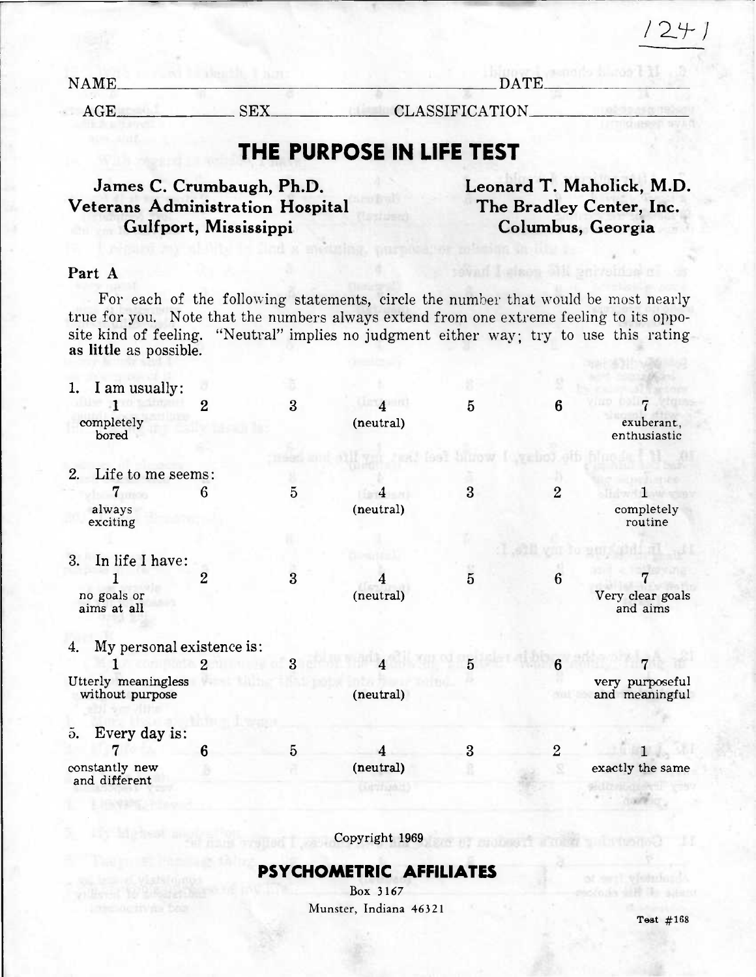$1241$ 

| NAME |     | <b>DATE</b>     |  |  |
|------|-----|-----------------|--|--|
| ACF  | СW. | CLASSIFICATION. |  |  |
|      |     |                 |  |  |

# **THE PURPOSE IN LIFE TEST**

**James C. Crumbaugh, Ph.D. Leonard T. Maholick, M.D. Veterans Administration Hospital The Bradley Center, Inc. Gulfport, Mississippi Columbus, Georgia** 

#### Part A

For each of the following statements, circle the number that would be most nearly true for you. Note that the numbers always extend from one extreme feeling to its opposite kind of feeling. "Neutral" implies no judgment either way; try to use this rating as little as possible.

|                        | I am usually:                   |                |   |                |                |                |                              |
|------------------------|---------------------------------|----------------|---|----------------|----------------|----------------|------------------------------|
|                        |                                 | $\overline{2}$ | 3 | $\overline{4}$ | 5              | 6              | 7                            |
|                        | completely<br>bored             |                |   | (neutral)      |                |                | exuberant,<br>enthusiastic   |
|                        |                                 |                |   |                |                |                |                              |
| 2.                     | Life to me seems:               |                |   |                |                |                |                              |
|                        | 7                               | 6              | 5 |                | 3              | $\overline{2}$ |                              |
|                        | always<br>exciting              |                |   | (neutral)      |                |                | completely<br>routine        |
|                        |                                 |                |   |                |                |                |                              |
| 3.                     | In life I have:                 |                |   |                |                |                |                              |
|                        |                                 | $\overline{2}$ | 3 |                | $\overline{5}$ | 6              |                              |
|                        | no goals or<br>aims at all      |                |   | (neutral)      |                |                | Very clear goals<br>and aims |
| 4.                     | My personal existence is:       |                |   |                |                |                |                              |
|                        |                                 | 2              | 3 |                | 5              | 6              |                              |
|                        | Utterly meaningless             |                |   |                |                |                | very purposeful              |
|                        | without purpose                 |                |   | (neutral)      |                |                | and meaningful               |
| $\tilde{\mathbf{d}}$ . | Every day is:                   |                |   |                |                |                |                              |
|                        |                                 | 6              | 5 |                | 3              | $\overline{2}$ |                              |
|                        | constantly new<br>and different |                |   | (neutral)      |                | s              | exactly the same             |
|                        |                                 |                |   |                |                |                |                              |

Copyright 1969

**AT NUMBER TOOLS** 

#### **PSYCHOMETRIC AFFILIATES**

Box 3167 Munster, Indiana 46321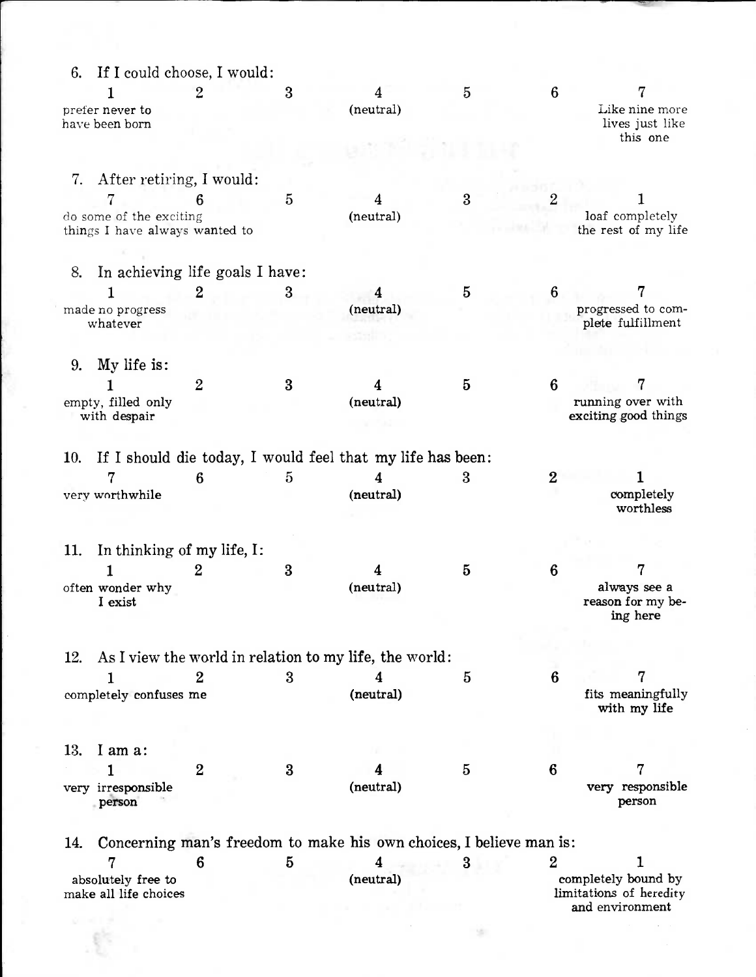| If I could choose, I would:<br>6.           |                  |                |                                                                     |          |                |                                                |
|---------------------------------------------|------------------|----------------|---------------------------------------------------------------------|----------|----------------|------------------------------------------------|
|                                             | $\overline{2}$   | 3              | 4                                                                   | 5        | 6              |                                                |
| prefer never to<br>have been born           |                  |                | (neutral)                                                           |          |                | Like nine more<br>lives just like              |
|                                             |                  |                |                                                                     |          |                | this one                                       |
|                                             |                  |                |                                                                     |          |                |                                                |
| 7.<br>After retiring, I would:              |                  |                |                                                                     | 3        |                |                                                |
| do some of the exciting                     | 6                | $\overline{5}$ | 4<br>(neutral)                                                      |          |                | loaf completely                                |
| things I have always wanted to              |                  |                |                                                                     |          |                | the rest of my life                            |
| In achieving life goals I have:<br>8.       |                  |                |                                                                     |          |                |                                                |
|                                             | $\overline{2}$   | $\mathbf{3}$   | 4                                                                   | 5        | 6              | 7                                              |
| made no progress                            |                  |                | (neutral)                                                           |          |                | progressed to com-                             |
| whatever                                    |                  |                |                                                                     |          |                | plete fulfillment                              |
|                                             |                  |                |                                                                     |          |                |                                                |
| My life is:<br>9.                           |                  |                |                                                                     |          |                |                                                |
|                                             | $\overline{2}$   | 3              | 4                                                                   | 5        | 6              | 7                                              |
| empty, filled only<br>with despair          |                  |                | (neutral)                                                           |          |                | running over with<br>exciting good things      |
| 10.                                         |                  |                | If I should die today, I would feel that my life has been:          |          |                |                                                |
|                                             | 6                | 5              | 4                                                                   | 3        | $\overline{2}$ |                                                |
| very worthwhile                             |                  |                | (neutral)                                                           |          |                | completely<br>worthless                        |
| In thinking of my life, I:<br>11.           |                  |                |                                                                     |          |                |                                                |
|                                             | $\overline{2}$   | 3              |                                                                     | $\bf{5}$ | 6              |                                                |
| often wonder why<br>I exist                 |                  |                | (neutral)                                                           |          |                | always see a<br>reason for my be-<br>ing here  |
|                                             |                  |                |                                                                     |          |                |                                                |
| 12.                                         |                  |                | As I view the world in relation to my life, the world:              |          |                |                                                |
|                                             | $\overline{2}$   | 3              | 4                                                                   | 5        | 6              | 7                                              |
| completely confuses me                      |                  |                | (neutral)                                                           |          |                | fits meaningfully<br>with my life              |
|                                             |                  |                |                                                                     |          |                |                                                |
| 13.<br>I am a:                              |                  |                |                                                                     |          |                |                                                |
| 1                                           | $\boldsymbol{2}$ | 3              |                                                                     | 5        | 6              | 7                                              |
| very irresponsible<br>person                |                  |                | (neutral)                                                           |          |                | very responsible<br>person                     |
| 14.                                         |                  |                | Concerning man's freedom to make his own choices, I believe man is: |          |                |                                                |
| 7                                           | 6                | $\bf{5}$       | 4                                                                   | 3        | $\overline{2}$ | ı                                              |
| absolutely free to<br>make all life choices |                  |                | (neutral)                                                           |          |                | completely bound by<br>limitations of heredity |
|                                             |                  |                |                                                                     |          |                | and environment                                |
|                                             |                  |                |                                                                     |          |                |                                                |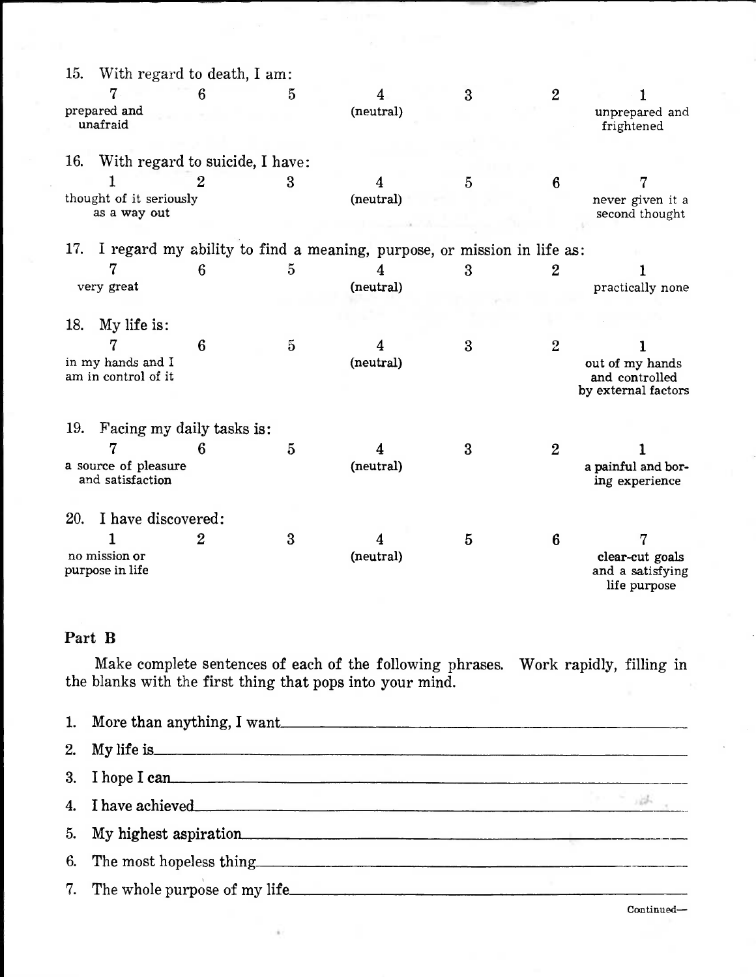| 15. |                                          | With regard to death, I am:     |   |                                                                        |                  |                |                                                          |
|-----|------------------------------------------|---------------------------------|---|------------------------------------------------------------------------|------------------|----------------|----------------------------------------------------------|
|     |                                          | 6                               | 5 | 4                                                                      | $\boldsymbol{3}$ | $\overline{2}$ |                                                          |
|     | prepared and<br>unafraid                 |                                 |   | (neutral)                                                              |                  |                | unprepared and<br>frightened                             |
| 16. |                                          | With regard to suicide, I have: |   |                                                                        |                  |                |                                                          |
|     |                                          |                                 |   |                                                                        |                  |                |                                                          |
|     |                                          | 2                               | 3 |                                                                        | 5                | 6              |                                                          |
|     | thought of it seriously<br>as a way out  |                                 |   | (neutral)                                                              |                  |                | never given it a<br>second thought                       |
| 17. |                                          |                                 |   | I regard my ability to find a meaning, purpose, or mission in life as: |                  |                |                                                          |
|     |                                          | 6                               | 5 |                                                                        | 3                | $\overline{2}$ |                                                          |
|     | very great                               |                                 |   | (neutral)                                                              |                  |                | practically none                                         |
|     |                                          |                                 |   |                                                                        |                  |                |                                                          |
| 18. | My life is:                              |                                 |   |                                                                        |                  |                |                                                          |
|     |                                          | 6                               | 5 |                                                                        | $\bf{3}$         | $\overline{2}$ |                                                          |
|     | in my hands and I<br>am in control of it |                                 |   | (neutral)                                                              |                  |                | out of my hands<br>and controlled<br>by external factors |
| 19. | Facing my daily tasks is:                |                                 |   |                                                                        |                  |                |                                                          |
|     |                                          | 6                               | 5 |                                                                        | 3                | $\overline{2}$ |                                                          |
|     | a source of pleasure<br>and satisfaction |                                 |   | (neutral)                                                              |                  |                | a painful and bor-<br>ing experience                     |
| 20. | I have discovered:                       |                                 |   |                                                                        |                  |                |                                                          |
|     |                                          | $\overline{2}$                  | 3 |                                                                        | 5                | 6              |                                                          |
|     | no mission or<br>purpose in life         |                                 |   | (neutral)                                                              |                  |                | clear-cut goals<br>and a satisfying<br>life purpose      |

### **Part B**

Make complete sentences of each of the following phrases. Work rapidly, filling in the blanks with the first thing that pops into your mind.

| 1. More than anything, I want                                                                                                                                                                                                  |  |
|--------------------------------------------------------------------------------------------------------------------------------------------------------------------------------------------------------------------------------|--|
| 2. My life is experience of the state of the state of the state of the state of the state of the state of the state of the state of the state of the state of the state of the state of the state of the state of the state of |  |
| 3. I hope I can                                                                                                                                                                                                                |  |
| 4. I have achieved                                                                                                                                                                                                             |  |
| 5. My highest aspiration                                                                                                                                                                                                       |  |
| 6. The most hopeless thing the state of the most hopeless thing                                                                                                                                                                |  |
|                                                                                                                                                                                                                                |  |

Continued—